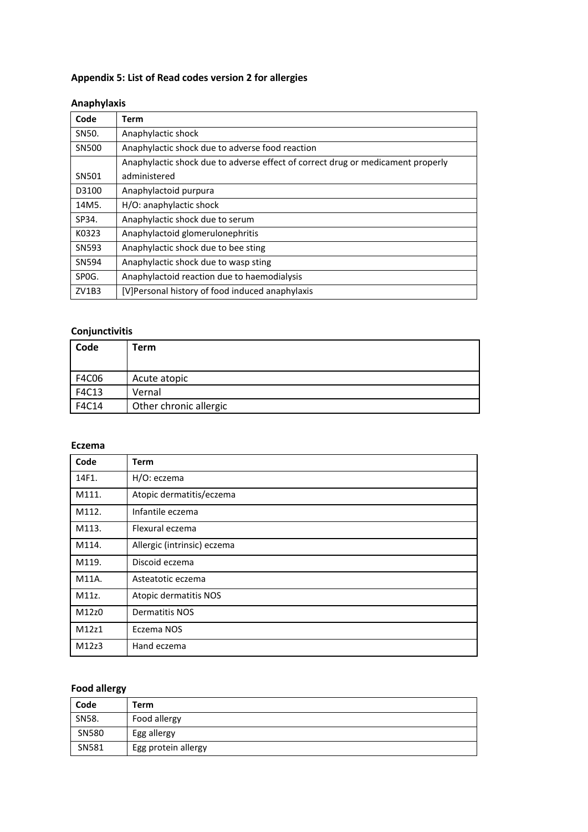# **Appendix 5: List of Read codes version 2 for allergies**

### **Anaphylaxis**

| Code  | Term                                                                            |  |
|-------|---------------------------------------------------------------------------------|--|
| SN50. | Anaphylactic shock                                                              |  |
| SN500 | Anaphylactic shock due to adverse food reaction                                 |  |
|       | Anaphylactic shock due to adverse effect of correct drug or medicament properly |  |
| SN501 | administered                                                                    |  |
| D3100 | Anaphylactoid purpura                                                           |  |
| 14M5. | H/O: anaphylactic shock                                                         |  |
| SP34. | Anaphylactic shock due to serum                                                 |  |
| K0323 | Anaphylactoid glomerulonephritis                                                |  |
| SN593 | Anaphylactic shock due to bee sting                                             |  |
| SN594 | Anaphylactic shock due to wasp sting                                            |  |
| SPOG. | Anaphylactoid reaction due to haemodialysis                                     |  |
| ZV1B3 | [V]Personal history of food induced anaphylaxis                                 |  |

### **Conjunctivitis**

| Code  | Term                   |
|-------|------------------------|
| F4C06 | Acute atopic           |
| F4C13 | Vernal                 |
| F4C14 | Other chronic allergic |

#### **Eczema**

| Code  | <b>Term</b>                 |
|-------|-----------------------------|
| 14F1. | H/O: eczema                 |
| M111. | Atopic dermatitis/eczema    |
| M112. | Infantile eczema            |
| M113. | Flexural eczema             |
| M114. | Allergic (intrinsic) eczema |
| M119. | Discoid eczema              |
| M11A. | Asteatotic eczema           |
| M11z. | Atopic dermatitis NOS       |
| M12z0 | <b>Dermatitis NOS</b>       |
| M12z1 | Eczema NOS                  |
| M12z3 | Hand eczema                 |

# **Food allergy**

| Code  | Term                |
|-------|---------------------|
| SN58. | Food allergy        |
| SN580 | Egg allergy         |
| SN581 | Egg protein allergy |